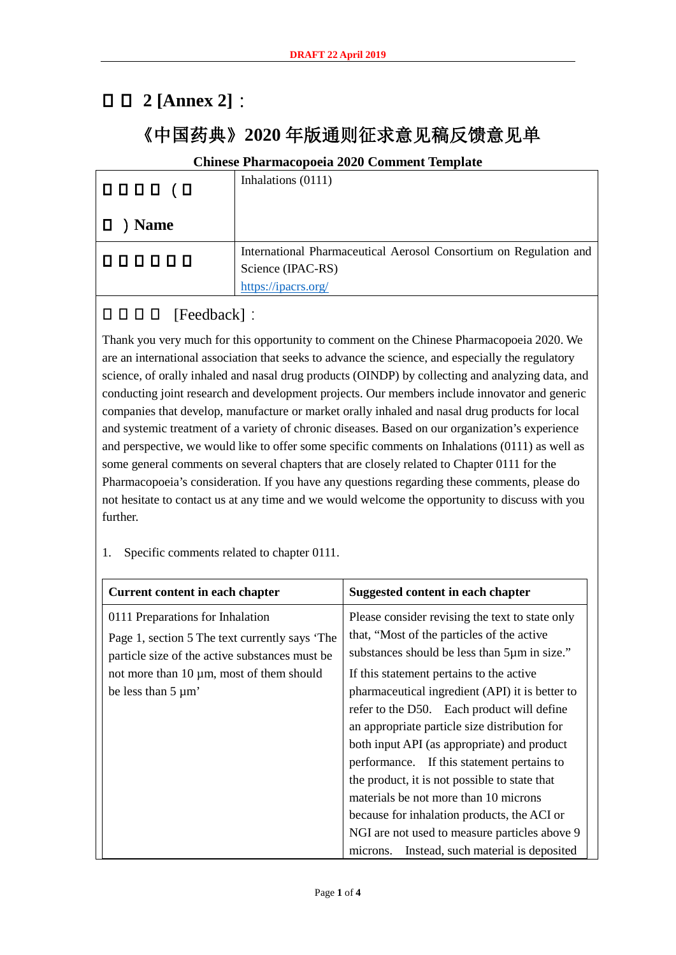# 附 件 **2 [Annex 2]**:

# 《中国药典》**2020** 年版通则征求意见稿反馈意见单

#### **Chinese Pharmacopoeia 2020 Comment Template**

| 0000 (O           | Inhalations (0111)                                                                                            |
|-------------------|---------------------------------------------------------------------------------------------------------------|
| ▏Д<br><b>Name</b> |                                                                                                               |
| 000000            | International Pharmaceutical Aerosol Consortium on Regulation and<br>Science (IPAC-RS)<br>https://ipacrs.org/ |

### $\Box$   $\Box$   $\Box$  [Feedback]:

Thank you very much for this opportunity to comment on the Chinese Pharmacopoeia 2020. We are an international association that seeks to advance the science, and especially the regulatory science, of orally inhaled and nasal drug products (OINDP) by collecting and analyzing data, and conducting joint research and development projects. Our members include innovator and generic companies that develop, manufacture or market orally inhaled and nasal drug products for local and systemic treatment of a variety of chronic diseases. Based on our organization's experience and perspective, we would like to offer some specific comments on Inhalations (0111) as well as some general comments on several chapters that are closely related to Chapter 0111 for the Pharmacopoeia's consideration. If you have any questions regarding these comments, please do not hesitate to contact us at any time and we would welcome the opportunity to discuss with you further.

| <b>Current content in each chapter</b>                                                           | Suggested content in each chapter                                                           |
|--------------------------------------------------------------------------------------------------|---------------------------------------------------------------------------------------------|
| 0111 Preparations for Inhalation                                                                 | Please consider revising the text to state only                                             |
| Page 1, section 5 The text currently says 'The<br>particle size of the active substances must be | that, "Most of the particles of the active"<br>substances should be less than 5µm in size." |
| not more than $10 \mu m$ , most of them should                                                   | If this statement pertains to the active                                                    |
| be less than $5 \mu m$                                                                           | pharmaceutical ingredient (API) it is better to                                             |
|                                                                                                  | refer to the D50. Each product will define                                                  |
|                                                                                                  | an appropriate particle size distribution for                                               |
|                                                                                                  | both input API (as appropriate) and product                                                 |
|                                                                                                  | performance. If this statement pertains to                                                  |
|                                                                                                  | the product, it is not possible to state that                                               |
|                                                                                                  | materials be not more than 10 microns                                                       |
|                                                                                                  | because for inhalation products, the ACI or                                                 |
|                                                                                                  | NGI are not used to measure particles above 9                                               |
|                                                                                                  | Instead, such material is deposited<br>microns.                                             |

1. Specific comments related to chapter 0111.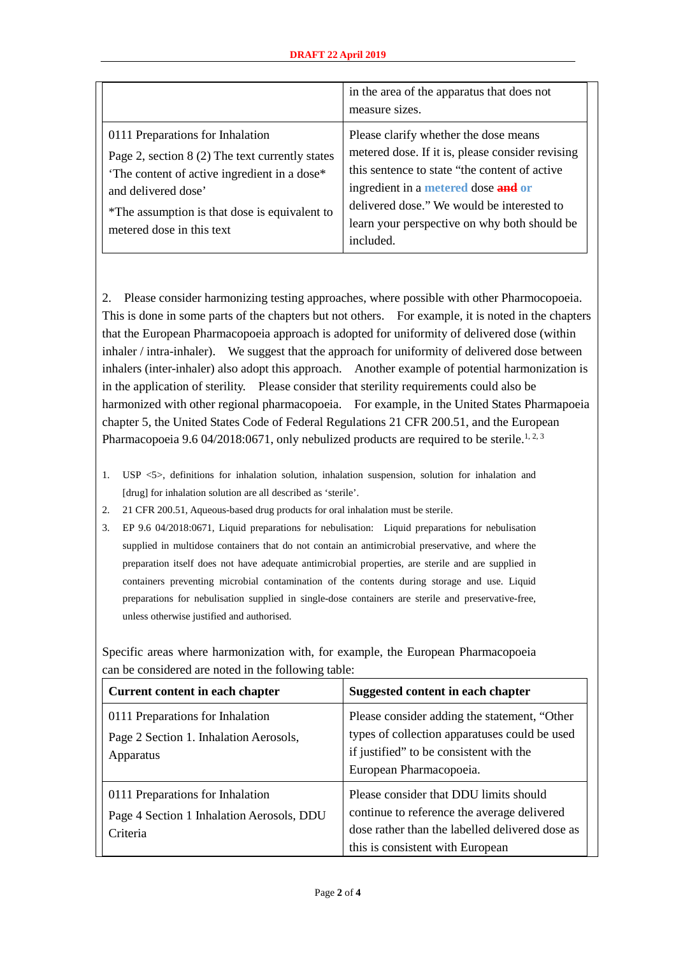|                                                                                                                                                                                                                                         | in the area of the apparatus that does not<br>measure sizes.                                                                                                                                                                                                                                         |
|-----------------------------------------------------------------------------------------------------------------------------------------------------------------------------------------------------------------------------------------|------------------------------------------------------------------------------------------------------------------------------------------------------------------------------------------------------------------------------------------------------------------------------------------------------|
| 0111 Preparations for Inhalation<br>Page 2, section 8 (2) The text currently states<br>The content of active ingredient in a dose*<br>and delivered dose'<br>*The assumption is that dose is equivalent to<br>metered dose in this text | Please clarify whether the dose means<br>metered dose. If it is, please consider revising<br>this sentence to state "the content of active"<br>ingredient in a <b>metered</b> dose and or<br>delivered dose." We would be interested to<br>learn your perspective on why both should be<br>included. |

2. Please consider harmonizing testing approaches, where possible with other Pharmocopoeia. This is done in some parts of the chapters but not others. For example, it is noted in the chapters that the European Pharmacopoeia approach is adopted for uniformity of delivered dose (within inhaler / intra-inhaler). We suggest that the approach for uniformity of delivered dose between inhalers (inter-inhaler) also adopt this approach. Another example of potential harmonization is in the application of sterility. Please consider that sterility requirements could also be harmonized with other regional pharmacopoeia. For example, in the United States Pharmapoeia chapter 5, the United States Code of Federal Regulations 21 CFR 200.51, and the European Pharmacopoeia 9.6 04/2018:0671, only nebulized products are required to be sterile.<sup>1, 2, 3</sup>

- 1. USP <5>, definitions for inhalation solution, inhalation suspension, solution for inhalation and [drug] for inhalation solution are all described as 'sterile'.
- 2. 21 CFR 200.51, Aqueous-based drug products for oral inhalation must be sterile.
- 3. EP 9.6 04/2018:0671, Liquid preparations for nebulisation: Liquid preparations for nebulisation supplied in multidose containers that do not contain an antimicrobial preservative, and where the preparation itself does not have adequate antimicrobial properties, are sterile and are supplied in containers preventing microbial contamination of the contents during storage and use. Liquid preparations for nebulisation supplied in single-dose containers are sterile and preservative-free, unless otherwise justified and authorised.

Specific areas where harmonization with, for example, the European Pharmacopoeia can be considered are noted in the following table:

| Current content in each chapter                                                           | Suggested content in each chapter                                                                                                                                            |
|-------------------------------------------------------------------------------------------|------------------------------------------------------------------------------------------------------------------------------------------------------------------------------|
| 0111 Preparations for Inhalation<br>Page 2 Section 1. Inhalation Aerosols,<br>Apparatus   | Please consider adding the statement, "Other<br>types of collection apparatuses could be used<br>if justified" to be consistent with the<br>European Pharmacopoeia.          |
| 0111 Preparations for Inhalation<br>Page 4 Section 1 Inhalation Aerosols, DDU<br>Criteria | Please consider that DDU limits should<br>continue to reference the average delivered<br>dose rather than the labelled delivered dose as<br>this is consistent with European |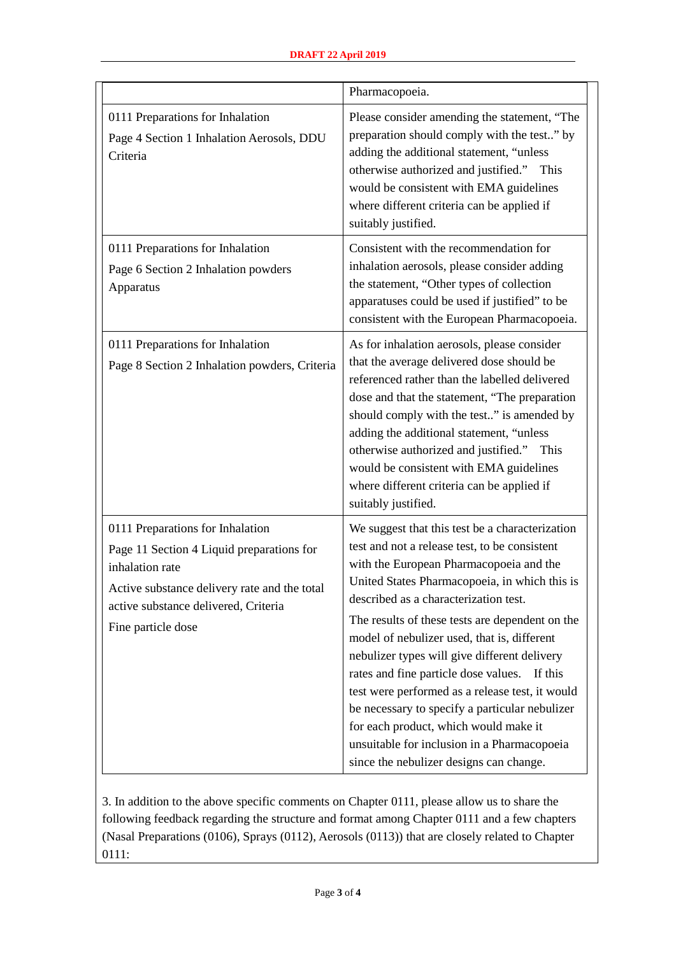|                                                                                                                                                                                                                | Pharmacopoeia.                                                                                                                                                                                                                                                                                                                                                                                                                                                                                                                                                                                                                                                                     |
|----------------------------------------------------------------------------------------------------------------------------------------------------------------------------------------------------------------|------------------------------------------------------------------------------------------------------------------------------------------------------------------------------------------------------------------------------------------------------------------------------------------------------------------------------------------------------------------------------------------------------------------------------------------------------------------------------------------------------------------------------------------------------------------------------------------------------------------------------------------------------------------------------------|
| 0111 Preparations for Inhalation<br>Page 4 Section 1 Inhalation Aerosols, DDU<br>Criteria                                                                                                                      | Please consider amending the statement, "The<br>preparation should comply with the test" by<br>adding the additional statement, "unless<br>otherwise authorized and justified." This<br>would be consistent with EMA guidelines<br>where different criteria can be applied if<br>suitably justified.                                                                                                                                                                                                                                                                                                                                                                               |
| 0111 Preparations for Inhalation<br>Page 6 Section 2 Inhalation powders<br>Apparatus                                                                                                                           | Consistent with the recommendation for<br>inhalation aerosols, please consider adding<br>the statement, "Other types of collection<br>apparatuses could be used if justified" to be<br>consistent with the European Pharmacopoeia.                                                                                                                                                                                                                                                                                                                                                                                                                                                 |
| 0111 Preparations for Inhalation<br>Page 8 Section 2 Inhalation powders, Criteria                                                                                                                              | As for inhalation aerosols, please consider<br>that the average delivered dose should be<br>referenced rather than the labelled delivered<br>dose and that the statement, "The preparation<br>should comply with the test" is amended by<br>adding the additional statement, "unless<br>otherwise authorized and justified." This<br>would be consistent with EMA guidelines<br>where different criteria can be applied if<br>suitably justified.                                                                                                                                                                                                                                  |
| 0111 Preparations for Inhalation<br>Page 11 Section 4 Liquid preparations for<br>inhalation rate<br>Active substance delivery rate and the total<br>active substance delivered, Criteria<br>Fine particle dose | We suggest that this test be a characterization<br>test and not a release test, to be consistent<br>with the European Pharmacopoeia and the<br>United States Pharmacopoeia, in which this is<br>described as a characterization test.<br>The results of these tests are dependent on the<br>model of nebulizer used, that is, different<br>nebulizer types will give different delivery<br>rates and fine particle dose values.<br>If this<br>test were performed as a release test, it would<br>be necessary to specify a particular nebulizer<br>for each product, which would make it<br>unsuitable for inclusion in a Pharmacopoeia<br>since the nebulizer designs can change. |

3. In addition to the above specific comments on Chapter 0111, please allow us to share the following feedback regarding the structure and format among Chapter 0111 and a few chapters (Nasal Preparations (0106), Sprays (0112), Aerosols (0113)) that are closely related to Chapter 0111: